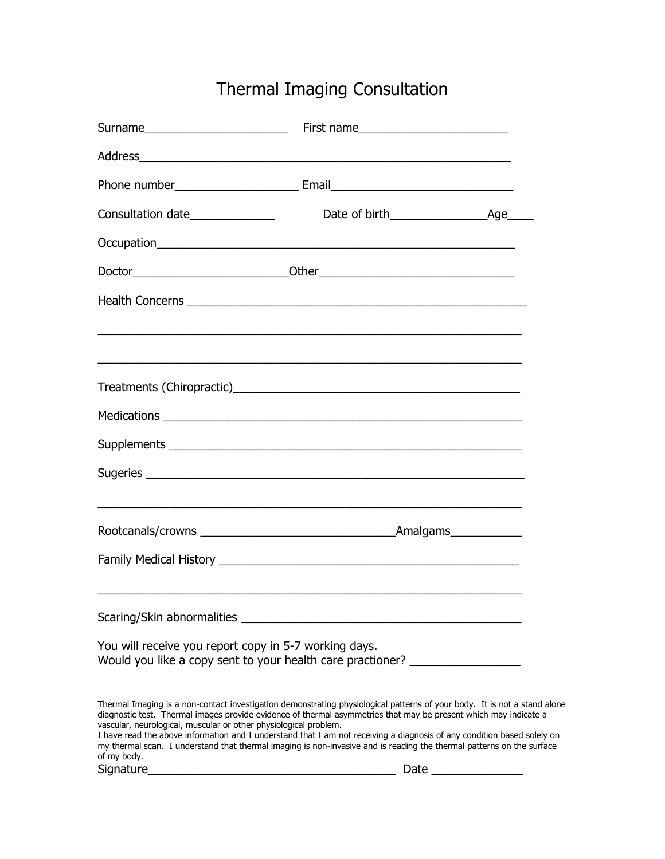## Thermal Imaging Consultation

| Consultation date________________                                                                                                                                                                                                                                                                                                                                                                                                                                                                                                                                                                                                                                               |      |  |
|---------------------------------------------------------------------------------------------------------------------------------------------------------------------------------------------------------------------------------------------------------------------------------------------------------------------------------------------------------------------------------------------------------------------------------------------------------------------------------------------------------------------------------------------------------------------------------------------------------------------------------------------------------------------------------|------|--|
|                                                                                                                                                                                                                                                                                                                                                                                                                                                                                                                                                                                                                                                                                 |      |  |
|                                                                                                                                                                                                                                                                                                                                                                                                                                                                                                                                                                                                                                                                                 |      |  |
| Health Concerns <b>contract to the contract of the contract of the contract of the contract of the contract of the contract of the contract of the contract of the contract of the contract of the contract of the contract of t</b>                                                                                                                                                                                                                                                                                                                                                                                                                                            |      |  |
| <u> 1989 - Johann John Stone, Amerikaansk politiker (d. 1989)</u>                                                                                                                                                                                                                                                                                                                                                                                                                                                                                                                                                                                                               |      |  |
|                                                                                                                                                                                                                                                                                                                                                                                                                                                                                                                                                                                                                                                                                 |      |  |
|                                                                                                                                                                                                                                                                                                                                                                                                                                                                                                                                                                                                                                                                                 |      |  |
|                                                                                                                                                                                                                                                                                                                                                                                                                                                                                                                                                                                                                                                                                 |      |  |
|                                                                                                                                                                                                                                                                                                                                                                                                                                                                                                                                                                                                                                                                                 |      |  |
|                                                                                                                                                                                                                                                                                                                                                                                                                                                                                                                                                                                                                                                                                 |      |  |
|                                                                                                                                                                                                                                                                                                                                                                                                                                                                                                                                                                                                                                                                                 |      |  |
| You will receive you report copy in 5-7 working days.<br>Would you like a copy sent to your health care practioner?                                                                                                                                                                                                                                                                                                                                                                                                                                                                                                                                                             |      |  |
| Thermal Imaging is a non-contact investigation demonstrating physiological patterns of your body. It is not a stand alone<br>diagnostic test. Thermal images provide evidence of thermal asymmetries that may be present which may indicate a<br>vascular, neurological, muscular or other physiological problem.<br>I have read the above information and I understand that I am not receiving a diagnosis of any condition based solely on<br>my thermal scan. I understand that thermal imaging is non-invasive and is reading the thermal patterns on the surface<br>of my body.<br>Signature<br>the control of the control of the control of the control of the control of | Date |  |